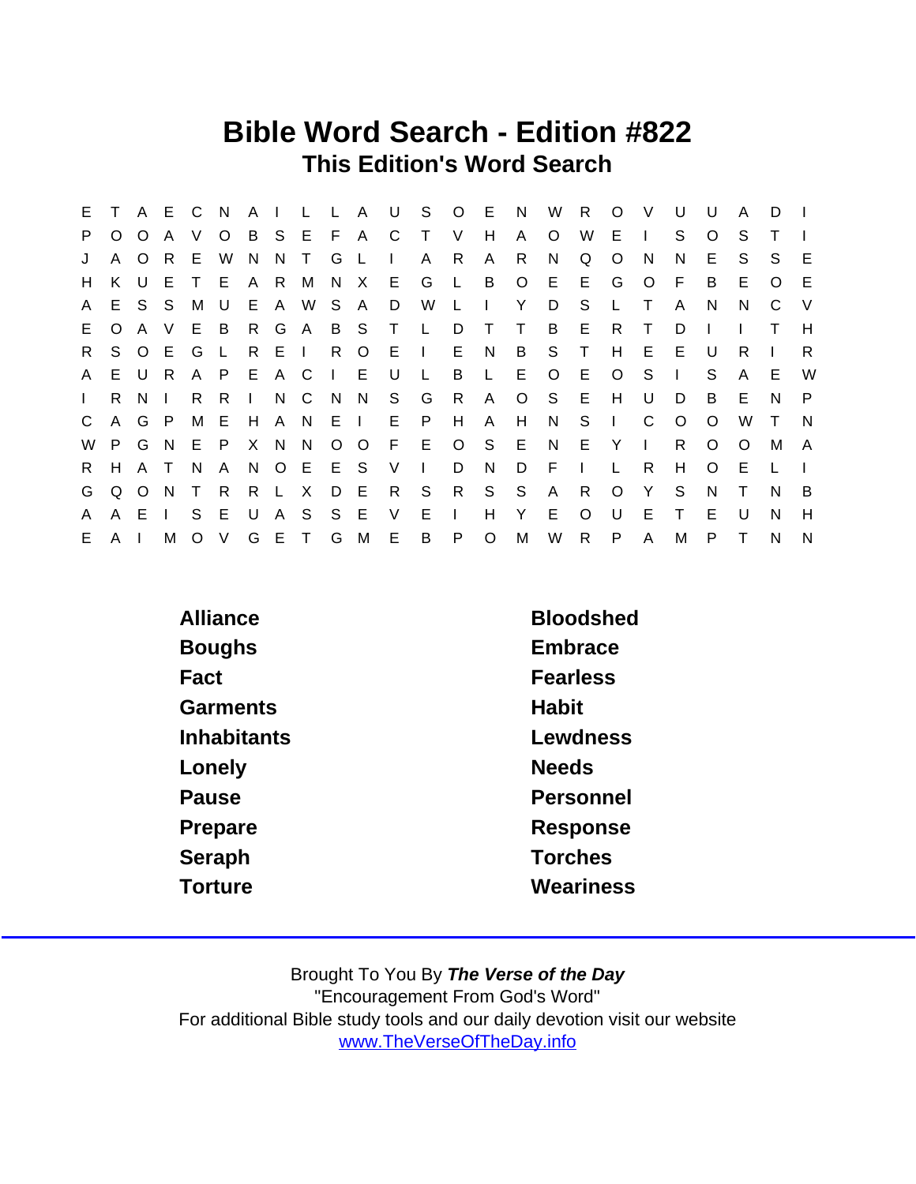## Bible Word Search - Edition #822 This Edition's Word Search

| E.           |          |                | A E C          |              | N.             |       |       |             |     |          |                | A I L L A U S O E N |                |                |         | W              | R.           | $\circ$      | <sup>V</sup> | U            | U       | A            | D.       |     |
|--------------|----------|----------------|----------------|--------------|----------------|-------|-------|-------------|-----|----------|----------------|---------------------|----------------|----------------|---------|----------------|--------------|--------------|--------------|--------------|---------|--------------|----------|-----|
| P            | O        | $\circ$        | A              | V.           | $\circ$        |       |       | B S E F A C |     |          |                | $\top$              | $\vee$         | H              | A       | O              | W            | E.           | $\mathbf{I}$ | S.           | $\circ$ | S.           |          |     |
| J            | A        | $\overline{O}$ | - R            | E            | W              | N.    |       | N T         | G   | -L.      | $\blacksquare$ | A                   | R.             | $\mathsf{A}$   | R.      | N.             | Q            | $\circ$      | <sub>N</sub> | N            | E.      | S.           | S.       | E   |
| H            | K.       | U              |                | E T          | E.             |       | A R M |             |     | N X      | E G            |                     | $\mathsf{L}$   |                | B O E   |                | E G          |              | $\circ$      | -F.          | B       | E            | $\Omega$ | -E  |
| A            | E.       |                | S S            | M            | U              |       |       | E A W S     |     | - A      | D              | W                   | $\mathsf{L}$   | $\mathbf{L}$   | Y       | D              | S.           | L            | $\top$       | A            | N       | N.           | C        | - V |
| E.           | $\circ$  | A V            |                | E            | $\overline{B}$ |       |       |             |     |          | R G A B S T L  |                     | D              | $\top$         | $\top$  | B              | $E$ R        |              | $\top$       | D            |         |              |          | H   |
| R.           |          | S O E          |                | G            | $\mathsf{L}$   | R     | EI    |             | R   | $\circ$  | E.             | $\sim 1$ .          | E N            |                | B       | S T            |              | H            | E.           | E            | U       | R.           |          | R   |
| $\mathsf{A}$ |          | E U R          |                | $\mathsf{A}$ | P              | E A C |       |             |     | $\Box$ E | U              | $\mathsf{L}$        | B              |                | L E     | OEO            |              |              | - S          | $\mathbf{I}$ | S.      | $\mathsf{A}$ | E.       | W   |
| $\mathbf{L}$ | R.       | N <sub>1</sub> |                | R.           | R.             |       |       | I N C N N   |     |          |                | S G                 | - R            | $\mathsf{A}$   | $\circ$ | S E            |              | H            | U            | D            | B       | Е            | N        | P   |
| $\mathsf{C}$ |          | A G P          |                | M            | - E            |       |       | H A N E I   |     |          | E              | P.                  | H              | $\mathsf{A}$   | H       | N <sub>S</sub> |              | $\mathbf{L}$ | C.           | $\circ$      | $\circ$ | W            | $\top$   | - N |
| W            | P.       | G N            |                | E            | $\mathsf{P}$   |       | X N N |             |     | $O$ $O$  |                | F E O               |                | S E            |         | N E            |              | Y            | $\mathbf{L}$ | R.           | $\circ$ | $\Omega$     | M        | A   |
| R.           | H        | A T            |                | N.           | A              |       |       | N O E E S   |     |          | V              | $\sim 1$ .          | D.             | N              | D       | - F            | $\mathbf{L}$ | L            | R.           | H            | $\circ$ | E            |          |     |
| G            |          | Q O N          |                | $\top$       | $\mathsf{R}$   |       |       | R L X       |     | D E      | $\mathsf{R}$   | S                   | R              | S <sub>S</sub> |         | $\mathsf{A}$   | R.           | $\circ$      | Y            | S            | N.      | $\top$       | N        | B   |
| A            |          | A E            | $\blacksquare$ | S.           | E              |       | U A S |             | S E |          | $\vee$         | E                   | $\mathbb{R}^n$ | H              | Y       | E.             | $\Omega$     | U            | E.           | $\top$       | E       | $\mathbf{U}$ | N        | H   |
| E.           | $A \mid$ |                | М              |              | $O$ V          |       |       | G E T G     |     | M        | - E -          | B                   | P              | $\circ$        | M       | W              | $R$ $P$      |              | $\mathsf{A}$ | M            | P.      |              | N        | N   |

| <b>Alliance</b> | <b>Bloodshed</b> |
|-----------------|------------------|
| <b>Boughs</b>   | Embrace          |
| Fact            | <b>Fearless</b>  |
| Garments        | Habit            |
| Inhabitants     | Lewdness         |
| Lonely          | <b>Needs</b>     |
| Pause           | Personnel        |
| Prepare         | Response         |
| Seraph          | <b>Torches</b>   |
| Torture         | Weariness        |
|                 |                  |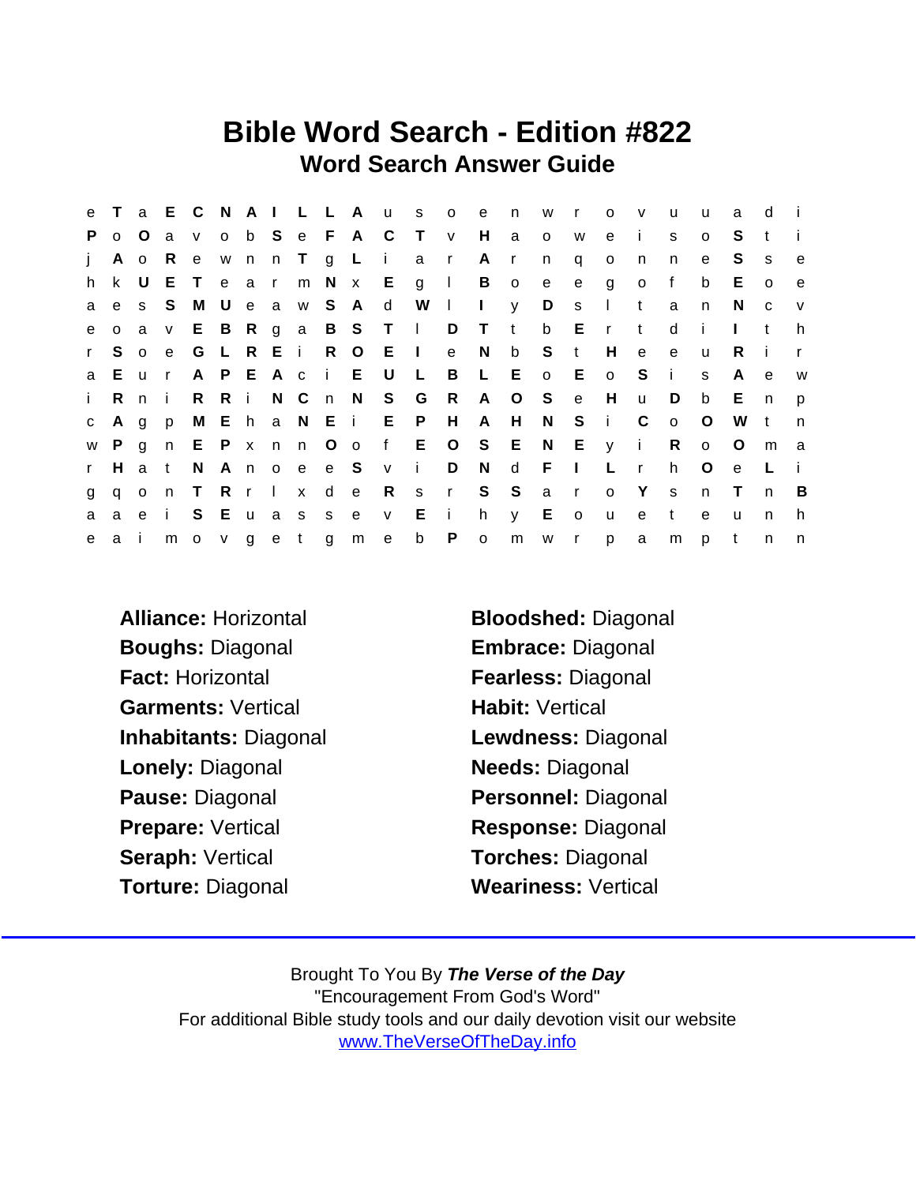## Bible Word Search - Edition #822 Word Search Answer Guide

|              |              |              |     |         |       |  |               | e T a E C N A I L L A u |                   | $S$ 0                 |                           | e              | n                       | W       | $\mathsf{r}$ | $\circ$         | $\mathsf{v}$    | u              | u            | a            | d            |              |
|--------------|--------------|--------------|-----|---------|-------|--|---------------|-------------------------|-------------------|-----------------------|---------------------------|----------------|-------------------------|---------|--------------|-----------------|-----------------|----------------|--------------|--------------|--------------|--------------|
| P.           | $\mathsf{o}$ | . O          | a   | V       |       |  |               |                         | o b S e F A C T   |                       | V                         | H              | a                       | $\circ$ | W            | e               | $\mathbf{i}$    | s              | $\circ$      | S.           | t            |              |
| j.           | A            | $\circ$      | -R  | e       |       |  | wnn Tg L      |                         | $\mathbf{I}$      | a r                   |                           | A              | $\mathsf{r}$            | n       | q            | $\circ$         | n               | n              | e            | S.           | S            | $\mathbf{e}$ |
|              | h k          | - U          |     |         |       |  |               |                         |                   | E T e a r m N x E g I |                           | $\overline{B}$ | $\overline{\mathbf{O}}$ | e       | e            | g               | $\overline{0}$  | f              | b            | E.           | $\circ$      | e e          |
| a            | e            | S.           | S.  |         |       |  | M U e a w S A |                         | $\mathsf{d}$      | W                     | $\mathbf{1}$ $\mathbf{1}$ |                |                         | y D     | S            | $\mathbb{R}$    | $-t$            | a              | n            | <sup>N</sup> | C            | V            |
| e            |              | $o$ a        | V   |         |       |  |               |                         | E B R g a B S T I |                       |                           | D T t          |                         |         | b E r        |                 | $-t$            | d              | -i -         | $\mathbf{L}$ | t            | h.           |
| r            | S.           | $\circ$      | e e | G       |       |  | L R E i R O   |                         | $E \cup$          |                       | e                         | N              | $\mathsf b$             | S t     |              | H               | $\mathsf{e}$    | $\mathsf{e}$   | <b>u</b>     | R.           | - 1          | $\mathsf{r}$ |
|              |              | a E u r      |     |         |       |  |               | A P E A c i E U         |                   | $\mathbb{L}$ .        | $\overline{B}$            | $\mathsf{L}$   | E                       |         | $o$ E        | $\mathbf{o}$    | S S             | $\blacksquare$ | s            | A            | e e          | <b>W</b>     |
| $\mathbf{i}$ | R            | n i          |     | R       |       |  |               |                         | R i N C n N S G   |                       | R                         |                | A O S                   |         | e e          | H               | <b>u</b>        | D              | b            | E            | n            | p            |
|              | c A g        |              | p   |         |       |  |               |                         |                   | M E h a N E i E P     |                           | H A H          |                         | N S     |              | $\sim 1$ .      | $\mathsf{C}$    | $\circ$        | $\circ$      | W            | $-t$         | n            |
|              | w P          | $\mathsf{g}$ | n   |         |       |  | E P x n n O o |                         |                   | f E O S E N E y       |                           |                |                         |         |              |                 | $\sim$ i $\sim$ | R              | $\circ$      | $\circ$      | m            | a            |
| $\mathbf{r}$ | H            | a            | t   | N.      |       |  | Anoee S       |                         | V                 | $\mathbf{i}$          | D                         | N              | $\mathsf{d}$            | - F     | $\Box$       | L               | $\mathsf{r}$    | h.             | $\circ$      | $\mathbf{e}$ | $\mathsf{L}$ | - i -        |
| $\mathbf{g}$ | q o          |              | n   | T R r I |       |  | x d           | $-e$                    | R                 | S                     | r                         |                | S S                     |         | a r          | $\circ$         | Y               | <sub>S</sub>   | n            | $\top$       | n            | B            |
| a            | a            | e i          |     |         | S E u |  | a s s e       |                         | $\mathsf{v}$      | E                     | $\mathbf{i}$              | h.             | y.                      | E       | $\circ$      | u               | e               | $\mathbf{t}$   | $\mathbf{e}$ | $\mathsf{u}$ | n.           | h.           |
| e            | a i          |              |     |         |       |  |               | mov get gme             |                   | b                     | $\mathsf{P}$              | $\mathsf{o}$   |                         | m w r   |              | $p \rightarrow$ | a               | $m$ $p$        |              | t            | n            | n,           |

- Boughs: Diagonal Embrace: Diagonal Fact: Horizontal **Fact: Fearless: Diagonal** Garments: Vertical **Habit: Vertical** Inhabitants: Diagonal Lewdness: Diagonal Lonely: Diagonal Needs: Diagonal Pause: Diagonal Personnel: Diagonal Prepare: Vertical Response: Diagonal Seraph: Vertical Torches: Diagonal Torture: Diagonal Weariness: Vertical
- Alliance: Horizontal Bloodshed: Diagonal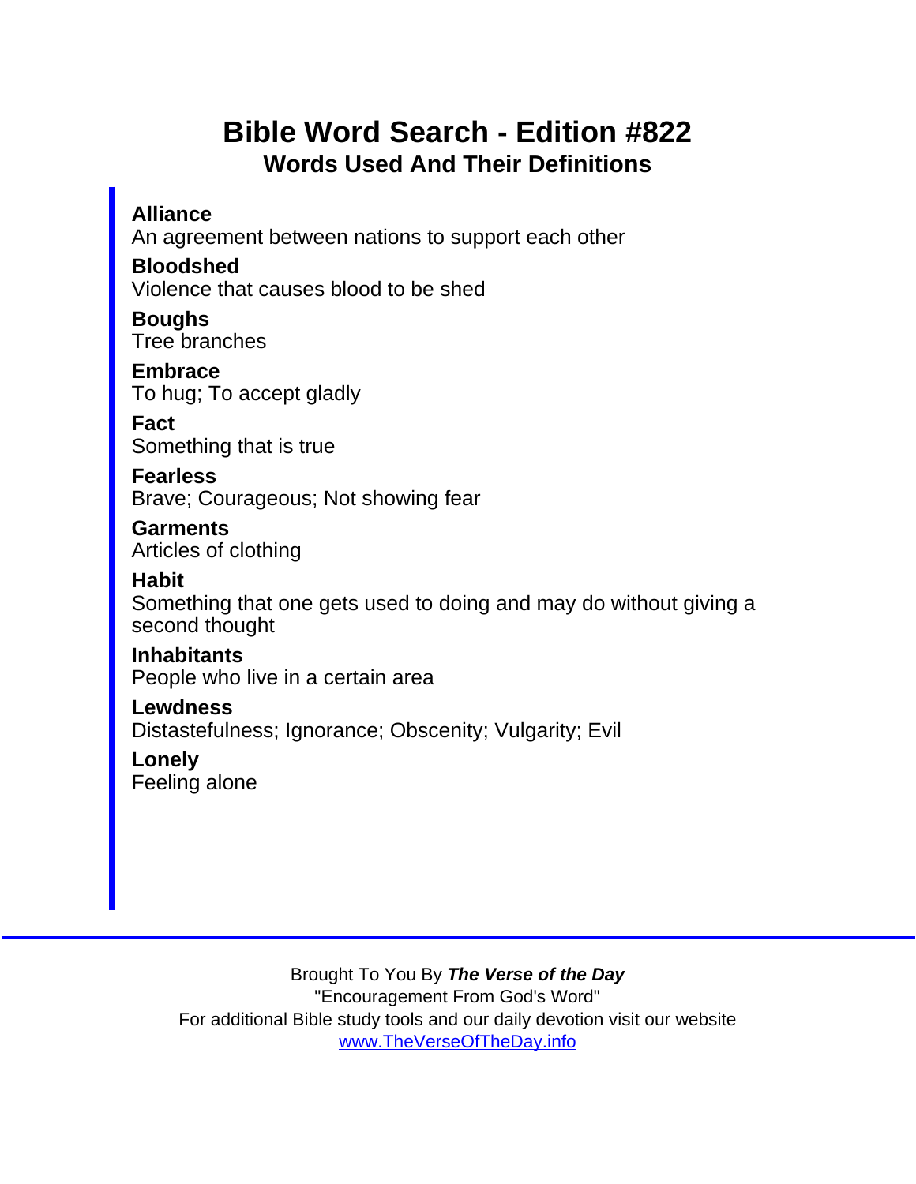## Bible Word Search - Edition #822 Words Used And Their Definitions

**Alliance** 

An agreement between nations to support each other

Bloodshed

Violence that causes blood to be shed

Boughs Tree branches

**Embrace** To hug; To accept gladly

Fact Something that is true

**Fearless** Brave; Courageous; Not showing fear

**Garments** Articles of clothing

**Habit** 

Something that one gets used to doing and may do without giving a second thought

**Inhabitants** People who live in a certain area

**Lewdness** Distastefulness; Ignorance; Obscenity; Vulgarity; Evil

Lonely Feeling alone